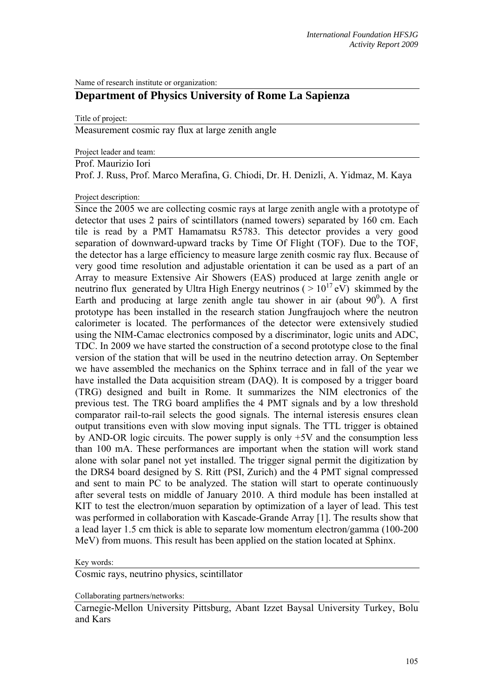Name of research institute or organization:

## **Department of Physics University of Rome La Sapienza**

Title of project:

Measurement cosmic ray flux at large zenith angle

Project leader and team:

Prof. Maurizio Iori

Prof. J. Russ, Prof. Marco Merafina, G. Chiodi, Dr. H. Denizli, A. Yidmaz, M. Kaya

Project description:

Since the 2005 we are collecting cosmic rays at large zenith angle with a prototype of detector that uses 2 pairs of scintillators (named towers) separated by 160 cm. Each tile is read by a PMT Hamamatsu R5783. This detector provides a very good separation of downward-upward tracks by Time Of Flight (TOF). Due to the TOF, the detector has a large efficiency to measure large zenith cosmic ray flux. Because of very good time resolution and adjustable orientation it can be used as a part of an Array to measure Extensive Air Showers (EAS) produced at large zenith angle or neutrino flux generated by Ultra High Energy neutrinos ( $> 10^{17}$  eV) skimmed by the Earth and producing at large zenith angle tau shower in air (about  $90^0$ ). A first prototype has been installed in the research station Jungfraujoch where the neutron calorimeter is located. The performances of the detector were extensively studied using the NIM-Camac electronics composed by a discriminator, logic units and ADC, TDC. In 2009 we have started the construction of a second prototype close to the final version of the station that will be used in the neutrino detection array. On September we have assembled the mechanics on the Sphinx terrace and in fall of the year we have installed the Data acquisition stream (DAQ). It is composed by a trigger board (TRG) designed and built in Rome. It summarizes the NIM electronics of the previous test. The TRG board amplifies the 4 PMT signals and by a low threshold comparator rail-to-rail selects the good signals. The internal isteresis ensures clean output transitions even with slow moving input signals. The TTL trigger is obtained by AND-OR logic circuits. The power supply is only +5V and the consumption less than 100 mA. These performances are important when the station will work stand alone with solar panel not yet installed. The trigger signal permit the digitization by the DRS4 board designed by S. Ritt (PSI, Zurich) and the 4 PMT signal compressed and sent to main PC to be analyzed. The station will start to operate continuously after several tests on middle of January 2010. A third module has been installed at KIT to test the electron/muon separation by optimization of a layer of lead. This test was performed in collaboration with Kascade-Grande Array [1]. The results show that a lead layer 1.5 cm thick is able to separate low momentum electron/gamma (100-200 MeV) from muons. This result has been applied on the station located at Sphinx.

Key words:

Cosmic rays, neutrino physics, scintillator

Collaborating partners/networks:

Carnegie-Mellon University Pittsburg, Abant Izzet Baysal University Turkey, Bolu and Kars